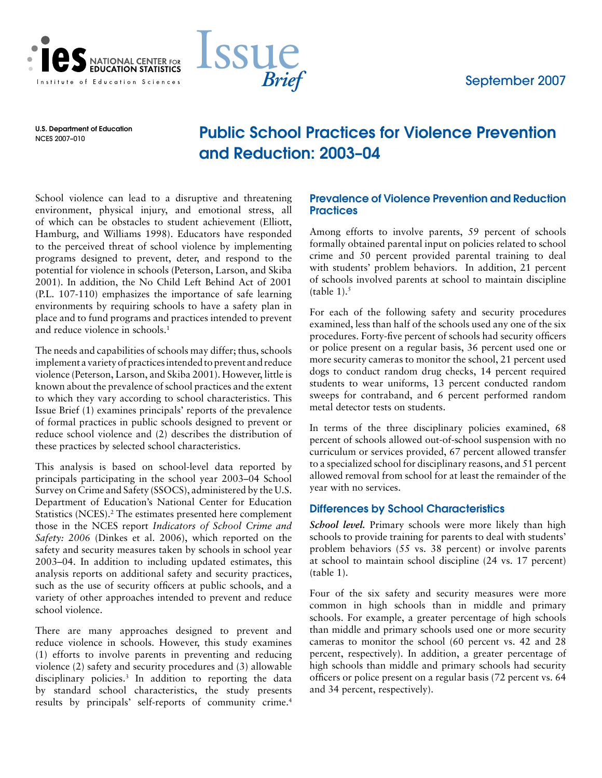



U.S. Department of Education NCES 2007–010

# Public School Practices for Violence Prevention and Reduction: 2003–04

School violence can lead to a disruptive and threatening environment, physical injury, and emotional stress, all of which can be obstacles to student achievement (Elliott, Hamburg, and Williams 1998). Educators have responded to the perceived threat of school violence by implementing programs designed to prevent, deter, and respond to the potential for violence in schools (Peterson, Larson, and Skiba 2001). In addition, the No Child Left Behind Act of 2001 (P.L. 107-110) emphasizes the importance of safe learning environments by requiring schools to have a safety plan in place and to fund programs and practices intended to prevent and reduce violence in schools.<sup>1</sup>

The needs and capabilities of schools may differ; thus, schools implement a variety of practices intended to prevent and reduce violence (Peterson, Larson, and Skiba 2001). However, little is known about the prevalence of school practices and the extent to which they vary according to school characteristics. This Issue Brief (1) examines principals' reports of the prevalence of formal practices in public schools designed to prevent or reduce school violence and (2) describes the distribution of these practices by selected school characteristics.

This analysis is based on school-level data reported by principals participating in the school year 2003–04 School Survey on Crime and Safety (SSOCS), administered by the U.S. Department of Education's National Center for Education Statistics (NCES).<sup>2</sup> The estimates presented here complement those in the NCES report *Indicators of School Crime and Safety: 2006* (Dinkes et al. 2006), which reported on the safety and security measures taken by schools in school year 2003–04. In addition to including updated estimates, this analysis reports on additional safety and security practices, such as the use of security officers at public schools, and a variety of other approaches intended to prevent and reduce school violence.

There are many approaches designed to prevent and reduce violence in schools. However, this study examines (1) efforts to involve parents in preventing and reducing violence (2) safety and security procedures and (3) allowable disciplinary policies.3 In addition to reporting the data by standard school characteristics, the study presents results by principals' self-reports of community crime.4

## Prevalence of Violence Prevention and Reduction **Practices**

Among efforts to involve parents, 59 percent of schools formally obtained parental input on policies related to school crime and 50 percent provided parental training to deal with students' problem behaviors. In addition, 21 percent of schools involved parents at school to maintain discipline (table  $1$ ).<sup>5</sup>

For each of the following safety and security procedures examined, less than half of the schools used any one of the six procedures. Forty-five percent of schools had security officers or police present on a regular basis, 36 percent used one or more security cameras to monitor the school, 21 percent used dogs to conduct random drug checks, 14 percent required students to wear uniforms, 13 percent conducted random sweeps for contraband, and 6 percent performed random metal detector tests on students.

In terms of the three disciplinary policies examined, 68 percent of schools allowed out-of-school suspension with no curriculum or services provided, 67 percent allowed transfer to a specialized school for disciplinary reasons, and 51 percent allowed removal from school for at least the remainder of the year with no services.

## Differences by School Characteristics

*School level.* Primary schools were more likely than high schools to provide training for parents to deal with students' problem behaviors (55 vs. 38 percent) or involve parents at school to maintain school discipline (24 vs. 17 percent) (table 1).

Four of the six safety and security measures were more common in high schools than in middle and primary schools. For example, a greater percentage of high schools than middle and primary schools used one or more security cameras to monitor the school (60 percent vs. 42 and 28 percent, respectively). In addition, a greater percentage of high schools than middle and primary schools had security officers or police present on a regular basis (72 percent vs. 64 and 34 percent, respectively).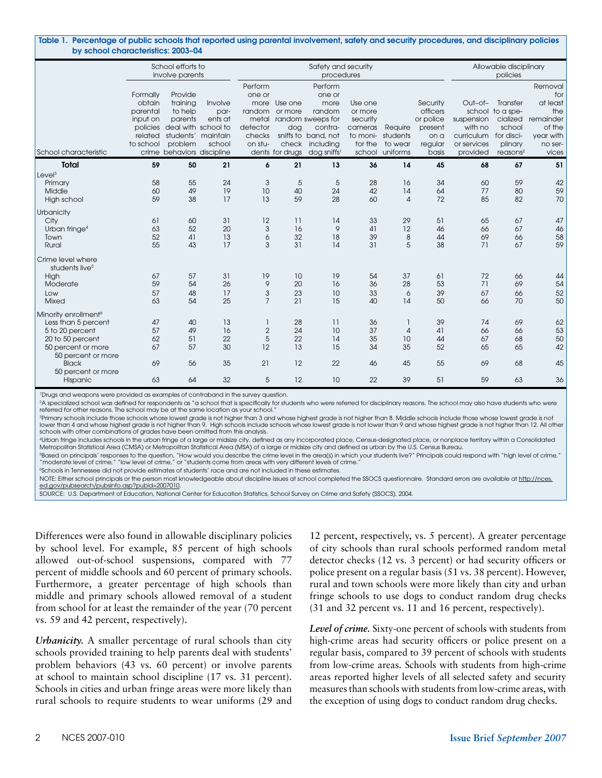|                                                                                                                                            | School efforts to<br>involve parents                               | Safety and security<br>procedures                                                                                                        |                                      |                                                    |                                                                   |                                                                                                                                          |                                                                            | Allowable disciplinary<br>policies         |                                                                          |                                                                           |                                                                                                     |                                                                                           |
|--------------------------------------------------------------------------------------------------------------------------------------------|--------------------------------------------------------------------|------------------------------------------------------------------------------------------------------------------------------------------|--------------------------------------|----------------------------------------------------|-------------------------------------------------------------------|------------------------------------------------------------------------------------------------------------------------------------------|----------------------------------------------------------------------------|--------------------------------------------|--------------------------------------------------------------------------|---------------------------------------------------------------------------|-----------------------------------------------------------------------------------------------------|-------------------------------------------------------------------------------------------|
| School characteristic                                                                                                                      | Formally<br>obtain<br>parental<br>input on<br>related<br>to school | Provide<br>training<br>to help<br>parents<br>policies deal with school to<br>students' maintain<br>problem<br>crime behaviors discipline | Involve<br>par-<br>ents at<br>school | Perform<br>one or<br>detector<br>checks<br>on stu- | more Use one<br>random or more<br>dog<br>check<br>dents for drugs | Perform<br>one or<br>more<br>random<br>metal random sweeps for<br>contra-<br>sniffs to band, not<br>including<br>dog sniffs <sup>1</sup> | Use one<br>or more<br>security<br>cameras<br>to moni-<br>tor the<br>school | Require<br>students<br>to wear<br>uniforms | Security<br>officers<br>or police<br>present<br>on a<br>regular<br>basis | Out-of-<br>suspension<br>with no<br>curriculum<br>or services<br>provided | Transfer<br>school to a spe-<br>cialized<br>school<br>for disci-<br>plinary<br>reasons <sup>2</sup> | Removal<br>for<br>at least<br>the<br>remainder<br>of the<br>year with<br>no ser-<br>vices |
| <b>Total</b>                                                                                                                               | 59                                                                 | 50                                                                                                                                       | 21                                   | 6                                                  | 21                                                                | 13                                                                                                                                       | 36                                                                         | 14                                         | 45                                                                       | 68                                                                        | 67                                                                                                  | 51                                                                                        |
| Leve <sup>3</sup><br>Primary<br>Middle<br>High school                                                                                      | 58<br>60<br>59                                                     | 55<br>49<br>38                                                                                                                           | 24<br>19<br>17                       | 3<br>10<br>13                                      | 5<br>40<br>59                                                     | 5<br>24<br>28                                                                                                                            | 28<br>42<br>60                                                             | 16<br>14<br>$\overline{A}$                 | 34<br>64<br>72                                                           | 60<br>77<br>85                                                            | 59<br>80<br>82                                                                                      | 42<br>59<br>70                                                                            |
| Urbanicity<br>City<br>Urban fringe <sup>4</sup><br>Town<br>Rural                                                                           | 61<br>63<br>52<br>55                                               | 60<br>52<br>41<br>43                                                                                                                     | 31<br>20<br>13<br>17                 | 12<br>3<br>6<br>3                                  | 11<br>16<br>32<br>31                                              | 14<br>9<br>18<br>14                                                                                                                      | 33<br>41<br>39<br>31                                                       | 29<br>12<br>8<br>5                         | 51<br>46<br>44<br>38                                                     | 65<br>66<br>69<br>71                                                      | 67<br>67<br>66<br>67                                                                                | 47<br>46<br>58<br>59                                                                      |
| Crime level where<br>students live <sup>5</sup><br>High<br>Moderate<br>Low<br>Mixed                                                        | 67<br>59<br>57<br>63                                               | 57<br>54<br>48<br>54                                                                                                                     | 31<br>26<br>17<br>25                 | 19<br>9<br>3<br>$\overline{7}$                     | 10<br>20<br>23<br>21                                              | 19<br>16<br>10<br>15                                                                                                                     | 54<br>36<br>33<br>40                                                       | 37<br>28<br>6<br>14                        | 61<br>53<br>39<br>50                                                     | 72<br>71<br>67<br>66                                                      | 66<br>69<br>66<br>70                                                                                | 44<br>54<br>52<br>50                                                                      |
| Minority enrollment <sup>6</sup><br>Less than 5 percent<br>5 to 20 percent<br>20 to 50 percent<br>50 percent or more<br>50 percent or more | 47<br>57<br>62<br>67                                               | 40<br>49<br>51<br>57                                                                                                                     | 13<br>16<br>22<br>30                 | 1<br>$\overline{2}$<br>5<br>12                     | 28<br>24<br>22<br>13                                              | $\overline{11}$<br>10<br>14<br>15                                                                                                        | 36<br>37<br>35<br>34                                                       | 1<br>$\overline{4}$<br>10<br>35            | 39<br>41<br>44<br>52                                                     | 74<br>66<br>67<br>65                                                      | 69<br>66<br>68<br>65                                                                                | 62<br>53<br>50<br>42                                                                      |
| <b>Black</b><br>50 percent or more<br>Hispanic                                                                                             | 69<br>63                                                           | 56<br>64                                                                                                                                 | 35<br>32                             | 21<br>5                                            | 12<br>12                                                          | 22<br>10                                                                                                                                 | 46<br>22                                                                   | 45<br>39                                   | 55<br>51                                                                 | 69<br>59                                                                  | 68<br>63                                                                                            | 45<br>36                                                                                  |

1 Drugs and weapons were provided as examples of contraband in the survey question.

<sup>2</sup>A specialized school was defined for respondents as "a school that is specifically for students who were referred for disciplinary reasons. The school may also have students who were referred for other reasons. The school may be at the same location as your school

3 Primary schools include those schools whose lowest grade is not higher than 3 and whose highest grade is not higher than 8. Middle schools include those whose lowest grade is not lower than 4 and whose highest grade is not higher than 9. High schools include schools whose lowest grade is not lower than 9 and whose highest grade is not higher than 12. All other schools with other combinations of grades have been omitted from this analysis.

4 Urban fringe includes schools in the urban fringe of a large or midsize city, defined as any incorporated place, Census-designated place, or nonplace territory within a Consolidated Metropolitan Statistical Area (CMSA) or Metropolitan Statistical Area (MSA) of a large or midsize city and defined as urban by the U.S. Census Bureau.

"Based on principals' responses to the question, "How would you describe the crime level in the area(s) in which your students live?" Principals could respond with "high level of crime,"<br>"moderate level of crime," "Iow lev

6 Schools in Tennessee did not provide estimates of students' race and are not included in these estimates.

NOTE: Either school principals or the person most knowledgeable about discipline issues at school completed the SSOCS questionnaire. Standard errors are available at http://nces. ed.gov/pubsearch/pubsinfo.asp?pubid=2007010.

SOURCE: U.S. Department of Education, National Center for Education Statistics, School Survey on Crime and Safety (SSOCS), 2004.

Differences were also found in allowable disciplinary policies by school level. For example, 85 percent of high schools allowed out-of-school suspensions, compared with 77 percent of middle schools and 60 percent of primary schools. Furthermore, a greater percentage of high schools than middle and primary schools allowed removal of a student from school for at least the remainder of the year (70 percent vs. 59 and 42 percent, respectively).

*Urbanicity.* A smaller percentage of rural schools than city schools provided training to help parents deal with students' problem behaviors (43 vs. 60 percent) or involve parents at school to maintain school discipline (17 vs. 31 percent). Schools in cities and urban fringe areas were more likely than rural schools to require students to wear uniforms (29 and

12 percent, respectively, vs. 5 percent). A greater percentage of city schools than rural schools performed random metal detector checks (12 vs. 3 percent) or had security officers or police present on a regular basis (51 vs. 38 percent). However, rural and town schools were more likely than city and urban fringe schools to use dogs to conduct random drug checks (31 and 32 percent vs. 11 and 16 percent, respectively).

*Level of crime.* Sixty-one percent of schools with students from high-crime areas had security officers or police present on a regular basis, compared to 39 percent of schools with students from low-crime areas. Schools with students from high-crime areas reported higher levels of all selected safety and security measures than schools with students from low-crime areas, with the exception of using dogs to conduct random drug checks.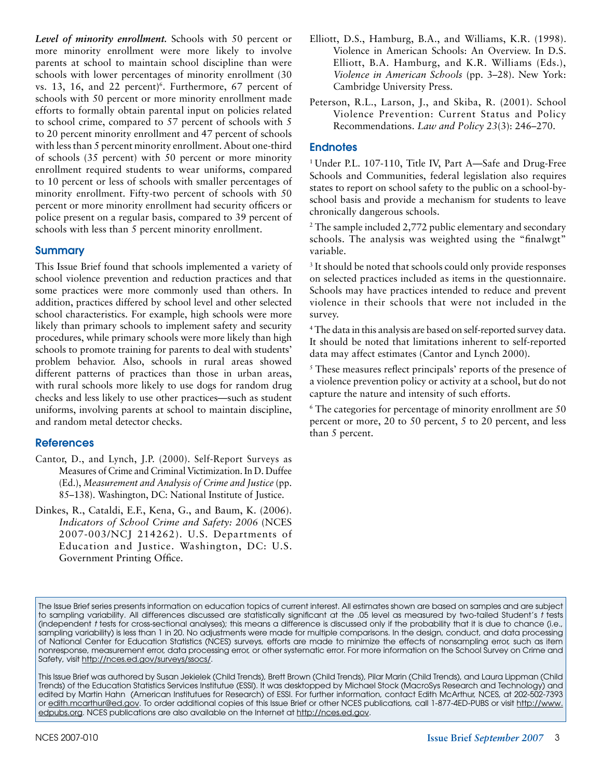*Level of minority enrollment.* Schools with 50 percent or more minority enrollment were more likely to involve parents at school to maintain school discipline than were schools with lower percentages of minority enrollment (30 vs.  $13$ ,  $16$ , and  $22$  percent)<sup>6</sup>. Furthermore,  $67$  percent of schools with 50 percent or more minority enrollment made efforts to formally obtain parental input on policies related to school crime, compared to 57 percent of schools with 5 to 20 percent minority enrollment and 47 percent of schools with less than 5 percent minority enrollment. About one-third of schools (35 percent) with 50 percent or more minority enrollment required students to wear uniforms, compared to 10 percent or less of schools with smaller percentages of minority enrollment. Fifty-two percent of schools with 50 percent or more minority enrollment had security officers or police present on a regular basis, compared to 39 percent of schools with less than 5 percent minority enrollment.

## **Summary**

This Issue Brief found that schools implemented a variety of school violence prevention and reduction practices and that some practices were more commonly used than others. In addition, practices differed by school level and other selected school characteristics. For example, high schools were more likely than primary schools to implement safety and security procedures, while primary schools were more likely than high schools to promote training for parents to deal with students' problem behavior. Also, schools in rural areas showed different patterns of practices than those in urban areas, with rural schools more likely to use dogs for random drug checks and less likely to use other practices—such as student uniforms, involving parents at school to maintain discipline, and random metal detector checks.

#### **References**

- Cantor, D., and Lynch, J.P. (2000). Self-Report Surveys as Measures of Crime and Criminal Victimization. In D. Duffee (Ed.), *Measurement and Analysis of Crime and Justice* (pp. 85–138). Washington, DC: National Institute of Justice.
- Dinkes, R., Cataldi, E.F., Kena, G., and Baum, K. (2006). *Indicators of School Crime and Safety: 2006* (NCES 2007-003/NCJ 214262). U.S. Departments of Education and Justice. Washington, DC: U.S. Government Printing Office.
- Elliott, D.S., Hamburg, B.A., and Williams, K.R. (1998). Violence in American Schools: An Overview. In D.S. Elliott, B.A. Hamburg, and K.R. Williams (Eds.), *Violence in American Schools* (pp. 3–28). New York: Cambridge University Press.
- Peterson, R.L., Larson, J., and Skiba, R. (2001). School Violence Prevention: Current Status and Policy Recommendations. *Law and Policy 23*(3): 246–270.

#### **Endnotes**

<sup>1</sup> Under P.L. 107-110, Title IV, Part A-Safe and Drug-Free Schools and Communities, federal legislation also requires states to report on school safety to the public on a school-byschool basis and provide a mechanism for students to leave chronically dangerous schools.

<sup>2</sup> The sample included 2,772 public elementary and secondary schools. The analysis was weighted using the "finalwgt" variable.

<sup>3</sup> It should be noted that schools could only provide responses on selected practices included as items in the questionnaire. Schools may have practices intended to reduce and prevent violence in their schools that were not included in the survey.

4 The data in this analysis are based on self-reported survey data. It should be noted that limitations inherent to self-reported data may affect estimates (Cantor and Lynch 2000).

5 These measures reflect principals' reports of the presence of a violence prevention policy or activity at a school, but do not capture the nature and intensity of such efforts.

6 The categories for percentage of minority enrollment are 50 percent or more, 20 to 50 percent, 5 to 20 percent, and less than 5 percent.

The Issue Brief series presents information on education topics of current interest. All estimates shown are based on samples and are subject to sampling variability. All differences discussed are statistically significant at the .05 level as measured by two-tailed Student's *t* tests (independent *t* tests for cross-sectional analyses); this means a difference is discussed only if the probability that it is due to chance (i.e., sampling variability) is less than 1 in 20. No adjustments were made for multiple comparisons. In the design, conduct, and data processing of National Center for Education Statistics (NCES) surveys, efforts are made to minimize the effects of nonsampling error, such as item nonresponse, measurement error, data processing error, or other systematic error. For more information on the School Survey on Crime and Safety, visit http://nces.ed.gov/surveys/ssocs/.

This Issue Brief was authored by Susan Jekielek (Child Trends), Brett Brown (Child Trends), Pilar Marin (Child Trends), and Laura Lippman (Child Trends) of the Education Statistics Services Institutue (ESSI). It was desktopped by Michael Stock (MacroSys Research and Technology) and edited by Martin Hahn (American Institutues for Research) of ESSI. For further information, contact Edith McArthur, NCES, at 202-502-7393 or edith.mcarthur@ed.gov. To order additional copies of this Issue Brief or other NCES publications, call 1-877-4ED-PUBS or visit http://www. edpubs.org. NCES publications are also available on the Internet at http://nces.ed.gov.